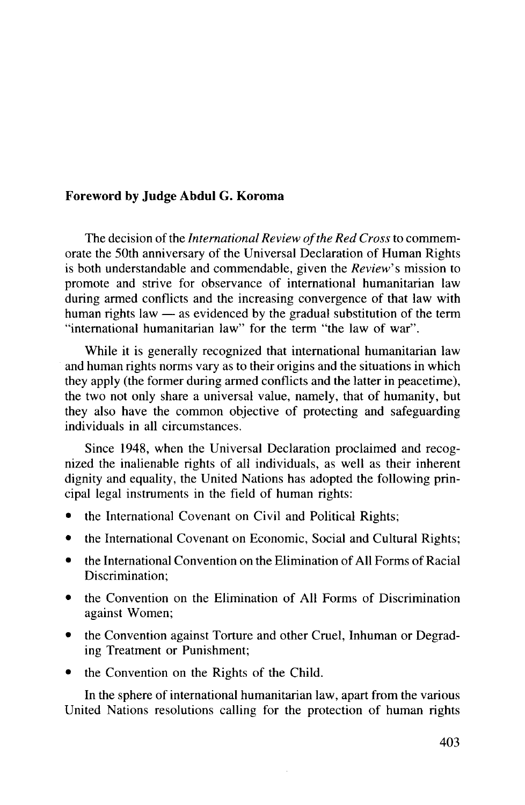## **Foreword by Judge Abdul** G. **Koroma**

The decision of the *International Review of the Red Cross* to commemorate the 50th anniversary of the Universal Declaration of Human Rights is both understandable and commendable, given the *Review's* mission to promote and strive for observance of international humanitarian law during armed conflicts and the increasing convergence of that law with human rights law — as evidenced by the gradual substitution of the term "international humanitarian law" for the term "the law of war".

While it is generally recognized that international humanitarian law and human rights norms vary as to their origins and the situations in which they apply (the former during armed conflicts and the latter in peacetime), the two not only share a universal value, namely, that of humanity, but they also have the common objective of protecting and safeguarding individuals in all circumstances.

Since 1948, when the Universal Declaration proclaimed and recognized the inalienable rights of all individuals, as well as their inherent dignity and equality, the United Nations has adopted the following principal legal instruments in the field of human rights:

- the International Covenant on Civil and Political Rights;
- the International Covenant on Economic, Social and Cultural Rights;
- the International Convention on the Elimination of All Forms of Racial Discrimination;
- the Convention on the Elimination of All Forms of Discrimination against Women;
- the Convention against Torture and other Cruel, Inhuman or Degrading Treatment or Punishment;
- the Convention on the Rights of the Child.

In the sphere of international humanitarian law, apart from the various United Nations resolutions calling for the protection of human rights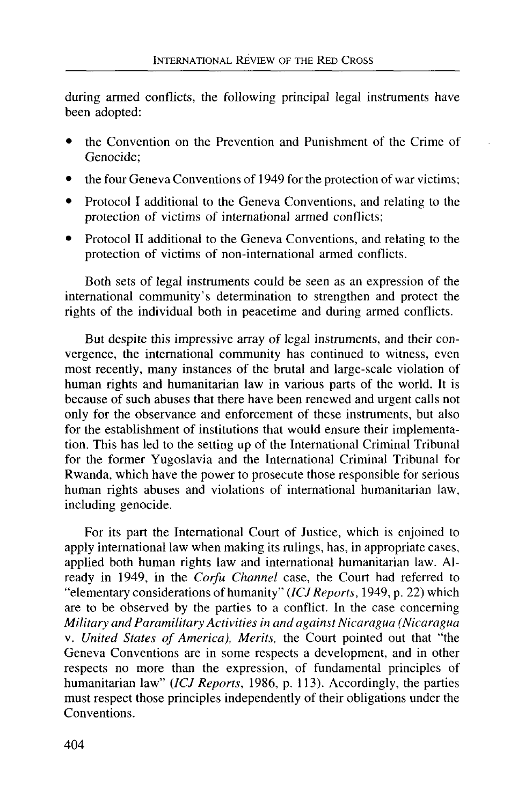during armed conflicts, the following principal legal instruments have been adopted:

- the Convention on the Prevention and Punishment of the Crime of Genocide;
- the four Geneva Conventions of 1949 for the protection of war victims;
- Protocol I additional to the Geneva Conventions, and relating to the protection of victims of international armed conflicts;
- Protocol II additional to the Geneva Conventions, and relating to the protection of victims of non-international armed conflicts.

Both sets of legal instruments could be seen as an expression of the international community's determination to strengthen and protect the rights of the individual both in peacetime and during armed conflicts.

But despite this impressive array of legal instruments, and their convergence, the international community has continued to witness, even most recently, many instances of the brutal and large-scale violation of human rights and humanitarian law in various parts of the world. It is because of such abuses that there have been renewed and urgent calls not only for the observance and enforcement of these instruments, but also for the establishment of institutions that would ensure their implementation. This has led to the setting up of the International Criminal Tribunal for the former Yugoslavia and the International Criminal Tribunal for Rwanda, which have the power to prosecute those responsible for serious human rights abuses and violations of international humanitarian law, including genocide.

For its part the International Court of Justice, which is enjoined to apply international law when making its rulings, has, in appropriate cases, applied both human rights law and international humanitarian law. Already in 1949, in the *Corfu Channel* case, the Court had referred to "elementary considerations of humanity" *(ICJ Reports,* 1949, p. 22) which are to be observed by the parties to a conflict. In the case concerning *Military and Paramilitary Activities in and against Nicaragua (Nicaragua* v. *United States of America), Merits,* the Court pointed out that "the Geneva Conventions are in some respects a development, and in other respects no more than the expression, of fundamental principles of humanitarian law" *(ICJ Reports,* 1986, p. 113). Accordingly, the parties must respect those principles independently of their obligations under the Conventions.